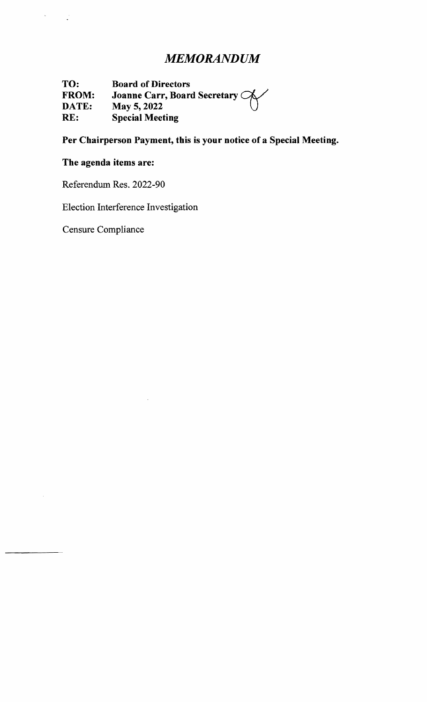# *MEMORANDUM*

**TO: Board of Directors FROM: DATE: Board of Directors<br>Joanne Carr, Board Secretary ��** May  $5, 2022$ **RE: Special Meeting** 

## **Per Chairperson Payment, this is your notice of a Special Meeting.**

## **The agenda items are:**

 $\label{eq:2.1} \frac{d\mathbf{y}}{dt} = \frac{1}{\sqrt{2\pi}}\left(\frac{d\mathbf{y}}{dt}\right)^2$ 

 $\hat{\mathcal{A}}$ 

Referendum Res. 2022-90

Election Interference Investigation

 $\bar{z}$ 

Censure Compliance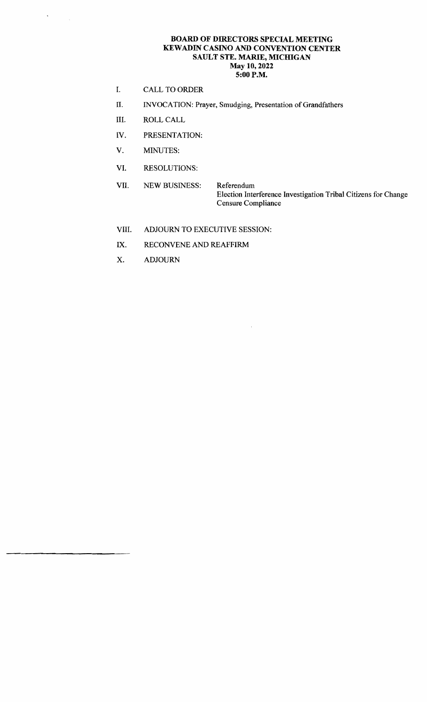#### BOARD OF DIRECTORS SPECIAL MEETING KEWADIN CASINO AND CONVENTION CENTER SAULT STE. MARIE, MICHIGAN May 10,2022 5:00 P.M.

- I. CALL TO ORDER
- II. INVOCATION: Prayer, Smudging, Presentation of Grandfathers
- III. ROLL CALL

 $\frac{1}{2} \sum_{i=1}^{n} \frac{1}{2} \sum_{j=1}^{n} \frac{1}{2} \sum_{j=1}^{n} \frac{1}{2} \sum_{j=1}^{n} \frac{1}{2} \sum_{j=1}^{n} \frac{1}{2} \sum_{j=1}^{n} \frac{1}{2} \sum_{j=1}^{n} \frac{1}{2} \sum_{j=1}^{n} \frac{1}{2} \sum_{j=1}^{n} \frac{1}{2} \sum_{j=1}^{n} \frac{1}{2} \sum_{j=1}^{n} \frac{1}{2} \sum_{j=1}^{n} \frac{1}{2} \sum_{j=1}^{n$ 

- IV. PRESENTATION:
- V. MINUTES:
- VI. RESOLUTIONS:
- VII. NEW BUSINESS: Referendum Election Interference Investigation Tribal Citizens for Change Censure Compliance

 $\bar{z}$ 

- VIII. ADJOURN TO EXECUTIVE SESSION:
- IX. RECONVENE AND REAFFIRM
- X. ADJOURN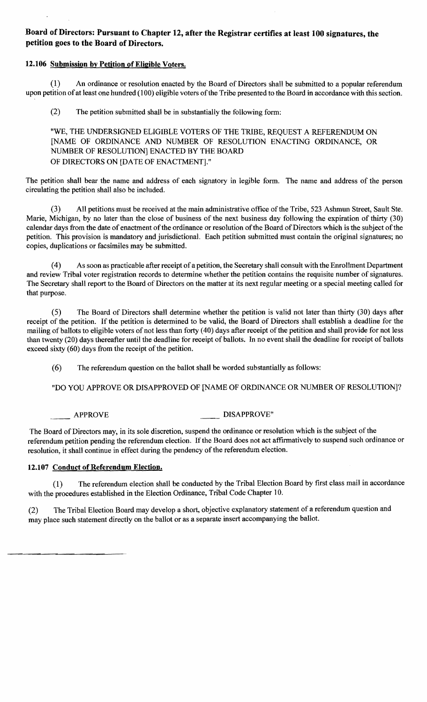## **Board of Directors: Pursuant to Chapter 12, after the Registrar certifies at least 100 signatures, the petition goes to the Board of Directors.**

#### **12.106 Submission by Petition** of Eligible **Voters.**

(1) An ordinance or resolution enacted by the Board of Directors shall be submitted to a popular referendum upon petition of at least one hundred (100) eligible voters of the Tribe presented to the Board in accordance with this section.

(2) The petition submitted shall be in substantially the following form:

"WE, THE UNDERSIGNED ELIGIBLE VOTERS OF THE TRIBE, REQUEST A REFERENDUM ON [NAME OF ORDINANCE AND NUMBER OF RESOLUTION ENACTING ORDINANCE, OR NUMBER OF RESOLUTION] ENACTED BY THE BOARD OF DIRECTORS ON [DATE OF ENACTMENT]."

The petition shall bear the name and address of each signatory in legible form. The name and address of the person circulating the petition shall also be included.

(3) All petitions must be received at the main administrative office of the Tribe, 523 Ashmun Street, Sault Ste. Marie, Michigan, by no later than the close of business of the next business day following the expiration of thirty (30) calendar days from the date of enactment of the ordinance or resolution of the Board of Directors which is the subject of the petition. This provision is mandatory and jurisdictional. Each petition submitted must contain the original signatures; no copies, duplications or facsimiles may be submitted.

(4) As soon as practicable after receipt of a petition, the Secretary shall consult with the Enrollment Department and review Tribal voter registration records to determine whether the petition contains the requisite number of signatures. The Secretary shall report to the Board of Directors on the matter at its next regular meeting or a special meeting called for that purpose.

(5) The Board of Directors shall determine whether the petition is valid not later than thirty (30) days after receipt of the petition. If the petition is determined to be valid, the Board of Directors shall establish a deadline for the mailing of ballots to eligible voters of not less than forty (40) days after receipt of the petition and shall provide for not less than twenty (20) days thereafter until the deadline for receipt of ballots. **In** no event shall the deadline for receipt of ballots exceed sixty (60) days from the receipt of the petition.

(6) The referendum question on the ballot shall be worded substantially as follows:

"DO YOU APPROVE OR DISAPPROVED OF [NAME OF ORDINANCE OR NUMBER OF RESOLUTION]?

APPROVE DISAPPROVE"

The Board of Directors may, in its sole discretion, suspend the ordinance or resolution which is the subject of the referendum petition pending the referendum election. If the Board does not act affirmatively to suspend such ordinance or resolution, it shall continue in effect during the pendency of the referendum election.

### **12.107 Conduct** of Referendum **Election.**

(1) The referendum election shall be conducted by the Tribal Election Board by first class mail in accordance with the procedures established in the Election Ordinance, Tribal Code Chapter 10.

(2) The Tribal Election Board may develop a short, objective explanatory statement of a referendum question and may place such statement directly on the ballot or as a separate insert accompanying the ballot.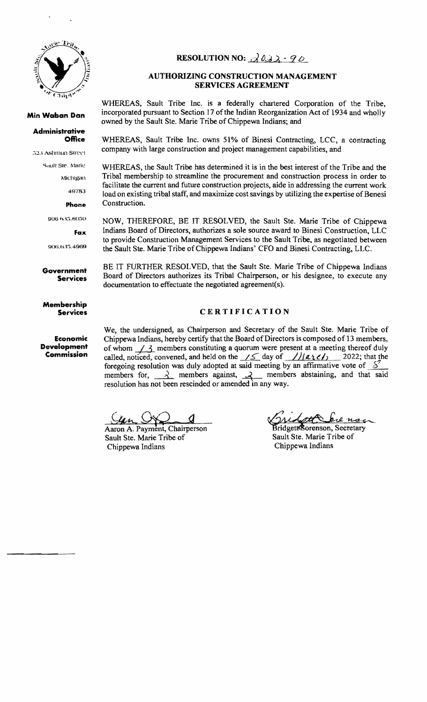

#### **Min Waban Dan**

#### **Administrative Office**

523 Ashmun Street

Sault Ste. Marie

Michigan

49783

#### **phone**

906 h.S:i.6050

**Fax** 

906./). J:).49G9

**Government Services** 

**Membership Services** 

**Economic Development Commission** 

## **RESOLUTION NO:**  $\partial \theta \partial x \cdot q \partial$

## **AUTHORIZING CONSTRUCTION MANAGEMENT SERVICES AGREEMENT**

WHEREAS, Sault Tribe Inc. is a federally chartered Corporation of the Tribe, incorporated pursuant to Section 17 of the Indian Reorganization Act of 1934 and wholly owned by the Sault Ste. Marie Tribe of Chippewa Indians; and

WHEREAS, Sault Tribe Inc. owns 51% of Binesi Contracting, LCC, a contracting company with large construction and project management capabilities, and

WHEREAS, the Sault Tribe has determined it is in the best interest of the Tribe and the Tribal membership to streamline the procurement and construction process in order to facilitate the current and future construction projects, aide in addressing the current work load on existing tribal staff, and maximize cost savings by utilizing the expertise of Benesi Construction.

NOW, THEREFORE, BE IT RESOLVED, the Sault Ste. Marie Tribe of Chippewa Indians Board of Directors, authorizes a sole source award to Binesi Construction, LlC to provide Construction Management Services to the Sault Tribe, as negotiated between the Sault Ste. Marie Tribe of Chippewa Indians' CFO and Binesi Contracting, LLC.

BE IT FURTHER RESOLVED, that the Sault Ste. Marie Tribe of Chippewa Indians Board of Directors authorizes its Tribal Chairperson, or his designee, to execute any documentation to effectuate the negotiated agreement(s).

#### **CERTIFICATION**

We, the undersigned, as Chairperson and Secretary of the Sault Ste. Marie Tribe of Chippewa Indians, hereby certify that the Board of Directors is composed of 13 members, of whom  $1/3$  members constituting a quorum were present at a meeting thereof duly called, noticed, convened, and held on the  $\angle \angle$  day of  $\angle$ //( $\angle$ 12/ $\angle$ /) 2022; that the foregoing resolution was duly adopted at said meeting by an affirmative vote of  $\frac{S^2}{S}$ foregoing resolution was duly adopted at said meeting by an affirmative vote of  $S$  members for,  $\rightarrow$  members against,  $\rightarrow$  members abstaining, and that said resolution has not been rescinded or amended in any way.

Aaron A. Payment, Chairperson Sault Ste. Marie Tribe of Chippewa Indians

 $_{u_{\alpha}}$ 

Bridgett<sup>&</sup>orenson, Secretary Sault Ste. Marie Tribe of Chippewa Indians